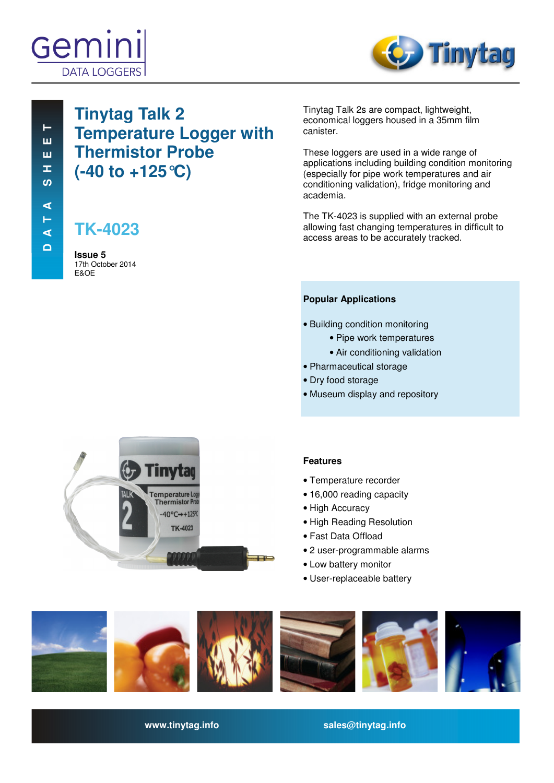



# **Tinytag Talk 2 Temperature Logger with Thermistor Probe (-40 to +125°C)**

# **TK-4023**

**Issue 5**  17th October 2014 E&OE

Tinytag Talk 2s are compact, lightweight, economical loggers housed in a 35mm film canister.

These loggers are used in a wide range of applications including building condition monitoring (especially for pipe work temperatures and air conditioning validation), fridge monitoring and academia.

The TK-4023 is supplied with an external probe allowing fast changing temperatures in difficult to access areas to be accurately tracked.

## **Popular Applications**

- Building condition monitoring
	- Pipe work temperatures
	- Air conditioning validation
- Pharmaceutical storage
- Dry food storage
- Museum display and repository



## **Features**

- Temperature recorder
- 16,000 reading capacity
- High Accuracy
- High Reading Resolution
- Fast Data Offload
- 2 user-programmable alarms
- Low battery monitor
- User-replaceable battery



**www.tinytag.info sales@tinytag.info**